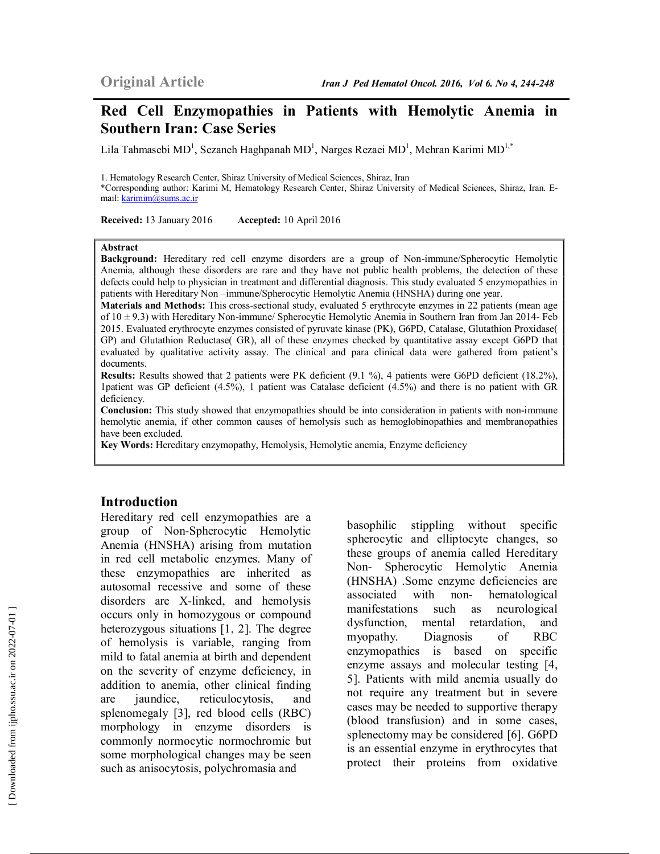# **Red Cell Enzymopathies in Patients with Hemolytic Anemia in Southern Iran: Case Series**

Lila Tahmasebi MD<sup>1</sup>, Sezaneh Haghpanah MD<sup>1</sup>, Narges Rezaei MD<sup>1</sup>, Mehran Karimi MD<sup>1,\*</sup>

1. Hematology Research Center, Shiraz University of Medical Sciences, Shiraz, Iran \*Corresponding author: Karimi M, Hematology Research Center, Shiraz University of Medical Sciences, Shiraz, Iran. Email: karimim@sums.ac.ir

**Received:** 13 January 2016 **Accepted:** 10 April 2016

#### **Abstract**

**Background:** Hereditary red cell enzyme disorders are a group of Non-immune/Spherocytic Hemolytic Anemia, although these disorders are rare and they have not public health problems, the detection of these defects could help to physician in treatment and differential diagnosis. This study evaluated 5 enzymopathies in patients with Hereditary Non –immune/Spherocytic Hemolytic Anemia (HNSHA) during one year.

**Materials and Methods:** This cross-sectional study, evaluated 5 erythrocyte enzymes in 22 patients (mean age of 10 ± 9.3) with Hereditary Non-immune/ Spherocytic Hemolytic Anemia in Southern Iran from Jan 2014- Feb 2015. Evaluated erythrocyte enzymes consisted of pyruvate kinase (PK), G6PD, Catalase, Glutathion Proxidase( GP) and Glutathion Reductase( GR), all of these enzymes checked by quantitative assay except G6PD that evaluated by qualitative activity assay. The clinical and para clinical data were gathered from patient's documents.

**Results:** Results showed that 2 patients were PK deficient (9.1 %), 4 patients were G6PD deficient (18.2%), 1patient was GP deficient (4.5%), 1 patient was Catalase deficient (4.5%) and there is no patient with GR deficiency.

**Conclusion:** This study showed that enzymopathies should be into consideration in patients with non-immune hemolytic anemia, if other common causes of hemolysis such as hemoglobinopathies and membranopathies have been excluded.

**Key Words:** Hereditary enzymopathy, Hemolysis, Hemolytic anemia, Enzyme deficiency

#### **Introduction**

Hereditary red cell enzymopathies are a group of Non-Spherocytic Hemolytic Anemia (HNSHA) arising from mutation in red cell metabolic enzymes. Many of these enzymopathies are inherited as autosomal recessive and some of these disorders are X-linked, and hemolysis occurs only in homozygous or compound heterozygous situations [1, 2]. The degree of hemolysis is variable, ranging from mild to fatal anemia at birth and dependent on the severity of enzyme deficiency, in addition to anemia, other clinical finding are jaundice, reticulocytosis, and splenomegaly [3], red blood cells (RBC) morphology in enzyme disorders is commonly normocytic normochromic but some morphological changes may be seen such as anisocytosis, polychromasia and

basophilic stippling without specific spherocytic and elliptocyte changes, so these groups of anemia called Hereditary Non- Spherocytic Hemolytic Anemia (HNSHA) .Some enzyme deficiencies are associated with non- hematological manifestations such as neurological dysfunction, mental retardation, and myopathy. Diagnosis of RBC enzymopathies is based on specific enzyme assays and molecular testing [4, 5]. Patients with mild anemia usually do not require any treatment but in severe cases may be needed to supportive therapy (blood transfusion) and in some cases, splenectomy may be considered [6]. G6PD is an essential enzyme in erythrocytes that protect their proteins from oxidative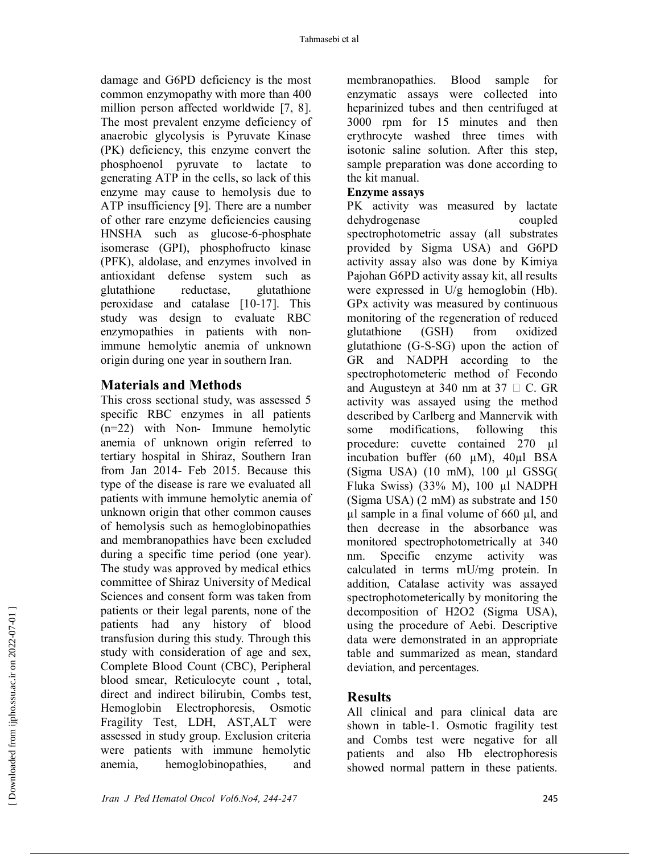damage and G6PD deficiency is the most common enzymopathy with more than 400 million person affected worldwide [7, 8]. The most prevalent enzyme deficiency of anaerobic glycolysis is Pyruvate Kinase (PK) deficiency, this enzyme convert the phosphoenol pyruvate to lactate to generating ATP in the cells, so lack of this enzyme may cause to hemolysis due to ATP insufficiency [9]. There are a number of other rare enzyme deficiencies causing HNSHA such as glucose-6-phosphate isomerase (GPI), phosphofructo kinase (PFK), aldolase, and enzymes involved in antioxidant defense system such as glutathione reductase, glutathione peroxidase and catalase [10-17]. This study was design to evaluate RBC enzymopathies in patients with nonimmune hemolytic anemia of unknown origin during one year in southern Iran.

# **Materials and Methods**

This cross sectional study, was assessed 5 specific RBC enzymes in all patients (n=22) with Non- Immune hemolytic anemia of unknown origin referred to tertiary hospital in Shiraz, Southern Iran from Jan 2014- Feb 2015. Because this type of the disease is rare we evaluated all patients with immune hemolytic anemia of unknown origin that other common causes of hemolysis such as hemoglobinopathies and membranopathies have been excluded during a specific time period (one year). The study was approved by medical ethics committee of Shiraz University of Medical Sciences and consent form was taken from patients or their legal parents, none of the patients had any history of blood transfusion during this study. Through this study with consideration of age and sex, Complete Blood Count (CBC), Peripheral blood smear, Reticulocyte count , total, direct and indirect bilirubin, Combs test, Hemoglobin Electrophoresis, Osmotic Fragility Test, LDH, AST,ALT were assessed in study group. Exclusion criteria were patients with immune hemolytic anemia, hemoglobinopathies, and

membranopathies. Blood sample for enzymatic assays were collected into heparinized tubes and then centrifuged at 3000 rpm for 15 minutes and then erythrocyte washed three times with isotonic saline solution. After this step, sample preparation was done according to the kit manual.

#### **Enzyme assays**

PK activity was measured by lactate dehydrogenase coupled spectrophotometric assay (all substrates provided by Sigma USA) and G6PD activity assay also was done by Kimiya Pajohan G6PD activity assay kit, all results were expressed in U/g hemoglobin (Hb). GPx activity was measured by continuous monitoring of the regeneration of reduced glutathione (GSH) from oxidized glutathione (G-S-SG) upon the action of GR and NADPH according to the spectrophotometeric method of Fecondo and Augusteyn at 340 nm at 37  $\Box$  C. GR activity was assayed using the method described by Carlberg and Mannervik with some modifications, following this procedure: cuvette contained 270 µl incubation buffer (60 µM), 40µl BSA  $(Sigma USA)$  (10 mM), 100 µl GSSG( Fluka Swiss) (33% M), 100 µl NADPH (Sigma USA) (2 mM) as substrate and 150  $\mu$ l sample in a final volume of 660  $\mu$ l, and then decrease in the absorbance was monitored spectrophotometrically at 340 nm. Specific enzyme activity was calculated in terms mU/mg protein. In addition, Catalase activity was assayed spectrophotometerically by monitoring the decomposition of H2O2 (Sigma USA), using the procedure of Aebi. Descriptive data were demonstrated in an appropriate table and summarized as mean, standard deviation, and percentages.

## **Results**

All clinical and para clinical data are shown in table-1. Osmotic fragility test and Combs test were negative for all patients and also Hb electrophoresis showed normal pattern in these patients.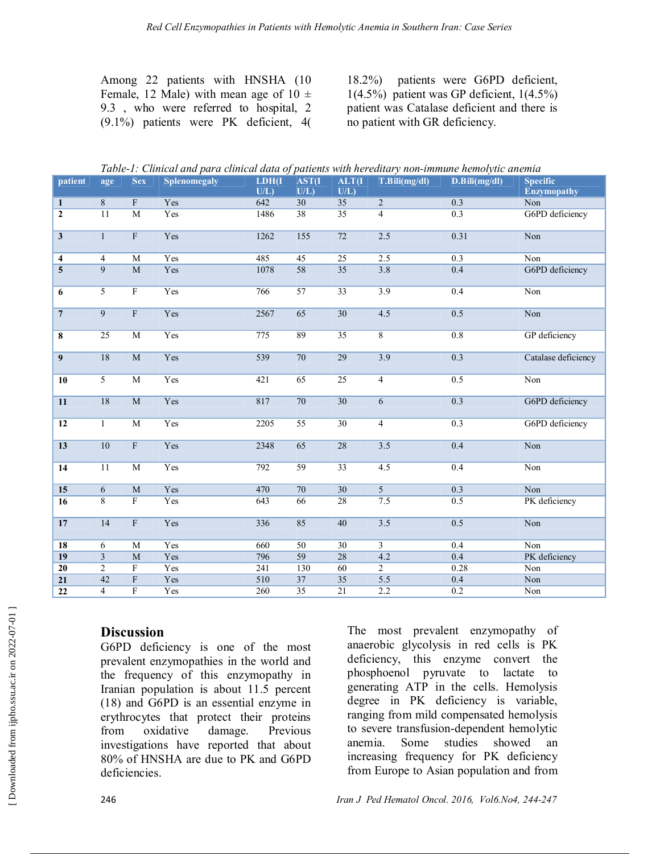Among 22 patients with HNSHA (10 Female, 12 Male) with mean age of  $10 \pm$ 9.3 , who were referred to hospital, 2 (9.1%) patients were PK deficient, 4(

18.2%) patients were G6PD deficient,  $1(4.5\%)$  patient was GP deficient,  $1(4.5\%)$ patient was Catalase deficient and there is no patient with GR deficiency.

|  | Table-1: Clinical and para clinical data of patients with hereditary non-immune hemolytic anemia |  |
|--|--------------------------------------------------------------------------------------------------|--|
|  |                                                                                                  |  |

| patient                 | age             | <b>Sex</b>                | Splenomegaly | LDH(I)<br>UL | <b>AST(I)</b><br>U/L | ALT <sub>(I</sub><br>U/L | T.Bili(mg/dl)    | D.Bili(mg/dl)    | <b>Specific</b><br><b>Enzymopathy</b> |
|-------------------------|-----------------|---------------------------|--------------|--------------|----------------------|--------------------------|------------------|------------------|---------------------------------------|
| $\mathbf{1}$            | 8               | $\boldsymbol{\mathrm{F}}$ | Yes          | 642          | $\overline{30}$      | $\overline{35}$          | $\overline{2}$   | 0.3              | Non                                   |
| $\overline{2}$          | $\overline{11}$ | $\overline{M}$            | Yes          | 1486         | 38                   | $\overline{35}$          | $\overline{4}$   | 0.3              | G6PD deficiency                       |
|                         |                 |                           |              |              |                      |                          |                  |                  |                                       |
| $\overline{\mathbf{3}}$ | $\mathbf{1}$    | $\overline{\mathrm{F}}$   | Yes          | 1262         | 155                  | 72                       | 2.5              | 0.31             | Non                                   |
| $\overline{4}$          | $\overline{4}$  | $\overline{M}$            | Yes          | 485          | $\overline{45}$      | $\overline{25}$          | 2.5              | $\overline{0.3}$ | Non                                   |
| $\overline{5}$          | $\overline{9}$  | $\overline{M}$            | Yes          | 1078         | $\overline{58}$      | $\overline{35}$          | 3.8              | 0.4              | G6PD deficiency                       |
| 6                       | $\overline{5}$  | $\overline{\mathrm{F}}$   | Yes          | 766          | $\overline{57}$      | $\overline{33}$          | $\overline{3.9}$ | 0.4              | Non                                   |
| $\overline{7}$          | $\overline{9}$  | $\overline{\mathrm{F}}$   | Yes          | 2567         | $\overline{65}$      | $\overline{30}$          | 4.5              | 0.5              | Non                                   |
| 8                       | 25              | $\mathbf M$               | Yes          | 775          | 89                   | 35                       | $8\,$            | 0.8              | GP deficiency                         |
| $\overline{9}$          | 18              | $\overline{\text{M}}$     | Yes          | 539          | 70                   | 29                       | 3.9              | 0.3              | Catalase deficiency                   |
| 10                      | $\overline{5}$  | $\overline{\text{M}}$     | Yes          | 421          | 65                   | $\overline{25}$          | $\overline{4}$   | 0.5              | Non                                   |
| 11                      | 18              | $\overline{\text{M}}$     | Yes          | 817          | 70                   | $\overline{30}$          | $\overline{6}$   | 0.3              | G6PD deficiency                       |
| 12                      | 1               | M                         | Yes          | 2205         | $\overline{55}$      | 30                       | $\overline{4}$   | 0.3              | G6PD deficiency                       |
| 13                      | 10              | $\boldsymbol{\mathrm{F}}$ | Yes          | 2348         | 65                   | $\overline{28}$          | 3.5              | 0.4              | Non                                   |
| $\overline{14}$         | 11              | $\overline{M}$            | Yes          | 792          | $\overline{59}$      | $\overline{33}$          | 4.5              | 0.4              | Non                                   |
| $\overline{15}$         | $\sqrt{6}$      | M                         | Yes          | 470          | 70                   | $\overline{30}$          | $\overline{5}$   | 0.3              | Non                                   |
| $\overline{16}$         | $\overline{8}$  | $\overline{\mathrm{F}}$   | Yes          | 643          | 66                   | $\overline{28}$          | 7.5              | 0.5              | PK deficiency                         |
| 17                      | 14              | $\overline{\mathrm{F}}$   | Yes          | 336          | 85                   | 40                       | 3.5              | 0.5              | Non                                   |
| 18                      | 6               | M                         | Yes          | 660          | 50                   | 30                       | $\overline{3}$   | 0.4              | Non                                   |
| 19                      | $\overline{3}$  | $\overline{M}$            | Yes          | 796          | 59                   | $\overline{28}$          | 4.2              | 0.4              | PK deficiency                         |
| $\overline{20}$         | $\overline{2}$  | $\overline{F}$            | Yes          | 241          | 130                  | 60                       | $\overline{2}$   | 0.28             | Non                                   |
| $\overline{21}$         | 42              | $\overline{\mathrm{F}}$   | Yes          | 510          | $\overline{37}$      | $\overline{35}$          | 5.5              | 0.4              | Non                                   |
| $\overline{22}$         | $\overline{4}$  | $\overline{\mathrm{F}}$   | Yes          | 260          | $\overline{35}$      | $\overline{21}$          | 2.2              | $\overline{0.2}$ | Non                                   |

## **Discussion**

G6PD deficiency is one of the most prevalent enzymopathies in the world and the frequency of this enzymopathy in Iranian population is about 11.5 percent (18) and G6PD is an essential enzyme in erythrocytes that protect their proteins from oxidative damage. Previous investigations have reported that about 80% of HNSHA are due to PK and G6PD deficiencies.

The most prevalent enzymopathy of anaerobic glycolysis in red cells is PK deficiency, this enzyme convert the phosphoenol pyruvate to lactate to generating ATP in the cells. Hemolysis degree in PK deficiency is variable, ranging from mild compensated hemolysis to severe transfusion-dependent hemolytic anemia. Some studies showed an increasing frequency for PK deficiency from Europe to Asian population and from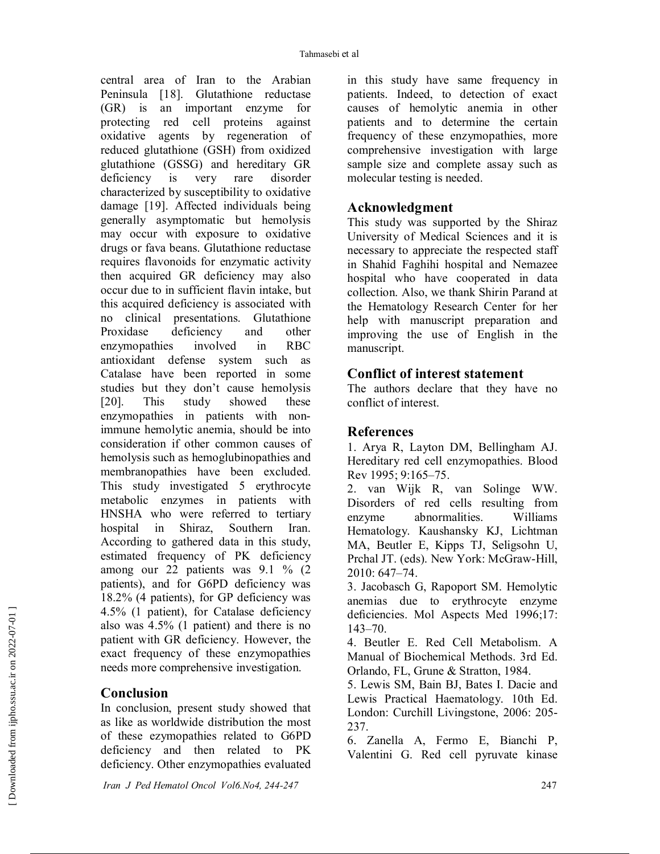central area of Iran to the Arabian Peninsula [18]. Glutathione reductase (GR) is an important enzyme for protecting red cell proteins against oxidative agents by regeneration of reduced glutathione (GSH) from oxidized glutathione (GSSG) and hereditary GR deficiency is very rare disorder characterized by susceptibility to oxidative damage [19]. Affected individuals being generally asymptomatic but hemolysis may occur with exposure to oxidative drugs or fava beans. Glutathione reductase requires flavonoids for enzymatic activity then acquired GR deficiency may also occur due to in sufficient flavin intake, but this acquired deficiency is associated with no clinical presentations. Glutathione Proxidase deficiency and other enzymopathies involved in RBC antioxidant defense system such as Catalase have been reported in some studies but they don't cause hemolysis [20]. This study showed these enzymopathies in patients with nonimmune hemolytic anemia, should be into consideration if other common causes of hemolysis such as hemoglubinopathies and membranopathies have been excluded. This study investigated 5 erythrocyte metabolic enzymes in patients with HNSHA who were referred to tertiary hospital in Shiraz, Southern Iran. According to gathered data in this study, estimated frequency of PK deficiency among our 22 patients was  $9.1 \%$  (2) patients), and for G6PD deficiency was 18.2% (4 patients), for GP deficiency was 4.5% (1 patient), for Catalase deficiency also was 4.5% (1 patient) and there is no patient with GR deficiency. However, the exact frequency of these enzymopathies needs more comprehensive investigation.

## **Conclusion**

In conclusion, present study showed that as like as worldwide distribution the most of these ezymopathies related to G6PD deficiency and then related to PK deficiency. Other enzymopathies evaluated

in this study have same frequency in patients. Indeed, to detection of exact causes of hemolytic anemia in other patients and to determine the certain frequency of these enzymopathies, more comprehensive investigation with large sample size and complete assay such as molecular testing is needed.

## **Acknowledgment**

This study was supported by the Shiraz University of Medical Sciences and it is necessary to appreciate the respected staff in Shahid Faghihi hospital and Nemazee hospital who have cooperated in data collection. Also, we thank Shirin Parand at the Hematology Research Center for her help with manuscript preparation and improving the use of English in the manuscript.

#### **Conflict of interest statement**

The authors declare that they have no conflict of interest.

## **References**

1. Arya R, Layton DM, Bellingham AJ. Hereditary red cell enzymopathies. Blood Rev 1995; 9:165–75.

2. van Wijk R, van Solinge WW. Disorders of red cells resulting from enzyme abnormalities. Williams Hematology. Kaushansky KJ, Lichtman MA, Beutler E, Kipps TJ, Seligsohn U, Prchal JT. (eds). New York: McGraw-Hill, 2010: 647–74.

3. Jacobasch G, Rapoport SM. Hemolytic anemias due to erythrocyte enzyme deficiencies. Mol Aspects Med 1996;17: 143–70.

4. Beutler E. Red Cell Metabolism. A Manual of Biochemical Methods. 3rd Ed. Orlando, FL, Grune & Stratton, 1984.

5. Lewis SM, Bain BJ, Bates I. Dacie and Lewis Practical Haematology. 10th Ed. London: Curchill Livingstone, 2006: 205- 237.

6. Zanella A, Fermo E, Bianchi P, Valentini G. Red cell pyruvate kinase